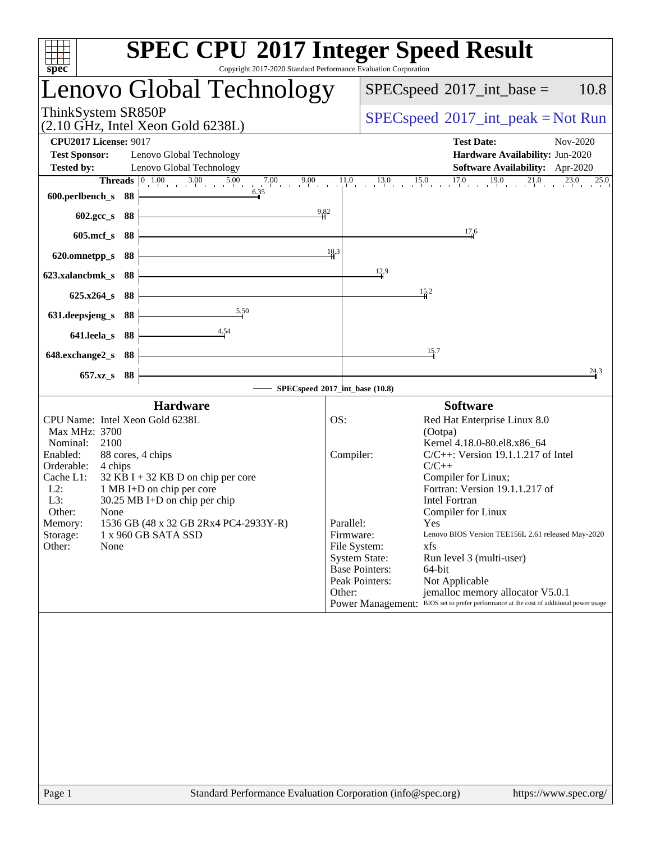| spec <sup>®</sup>                                                                   | <b>SPEC CPU®2017 Integer Speed Result</b><br>Copyright 2017-2020 Standard Performance Evaluation Corporation                            |
|-------------------------------------------------------------------------------------|-----------------------------------------------------------------------------------------------------------------------------------------|
| Lenovo Global Technology                                                            | 10.8<br>$SPEC speed^{\circ}2017\_int\_base =$                                                                                           |
| ThinkSystem SR850P<br>$(2.10 \text{ GHz}, \text{Intel Xeon Gold } 6238L)$           | $SPEC speed^{\circ}2017\_int\_peak = Not Run$                                                                                           |
| <b>CPU2017 License: 9017</b>                                                        | <b>Test Date:</b><br>Nov-2020                                                                                                           |
| <b>Test Sponsor:</b><br>Lenovo Global Technology                                    | Hardware Availability: Jun-2020                                                                                                         |
| Lenovo Global Technology<br><b>Tested by:</b>                                       | Software Availability: Apr-2020                                                                                                         |
|                                                                                     |                                                                                                                                         |
| 600.perlbench_s 88                                                                  |                                                                                                                                         |
| 602.gcc_s<br>88                                                                     | 9.82                                                                                                                                    |
| $605$ .mcf_s<br>88                                                                  | $\frac{17.6}{4}$                                                                                                                        |
| 620.omnetpp_s<br>88                                                                 | 10.3                                                                                                                                    |
| 623.xalancbmk s<br>- 88                                                             | 12.9                                                                                                                                    |
| $625.x264_s$<br>88                                                                  | 15.2                                                                                                                                    |
| 5.50<br>631.deepsjeng_s<br>88                                                       |                                                                                                                                         |
| 4.54<br>641.leela_s<br>-88                                                          |                                                                                                                                         |
| 648.exchange2_s<br>- 88                                                             | 15.7                                                                                                                                    |
| 657.xz_s 88                                                                         | 24.3                                                                                                                                    |
|                                                                                     | SPECspeed <sup>®</sup> 2017_int_base (10.8)                                                                                             |
| <b>Hardware</b>                                                                     | <b>Software</b>                                                                                                                         |
| CPU Name: Intel Xeon Gold 6238L                                                     | OS:<br>Red Hat Enterprise Linux 8.0                                                                                                     |
| Max MHz: 3700                                                                       | (Ootpa)                                                                                                                                 |
| Nominal:<br>2100                                                                    | Kernel 4.18.0-80.el8.x86_64                                                                                                             |
| Enabled:<br>88 cores, 4 chips<br>Orderable:<br>4 chips                              | Compiler:<br>$C/C++$ : Version 19.1.1.217 of Intel<br>$C/C++$                                                                           |
| Cache L1:<br>$32$ KB I + 32 KB D on chip per core                                   | Compiler for Linux;                                                                                                                     |
| $L2$ :<br>1 MB I+D on chip per core                                                 | Fortran: Version 19.1.1.217 of                                                                                                          |
| L3:<br>30.25 MB I+D on chip per chip                                                | <b>Intel Fortran</b>                                                                                                                    |
| Other:<br>None                                                                      | Compiler for Linux                                                                                                                      |
| 1536 GB (48 x 32 GB 2Rx4 PC4-2933Y-R)<br>Memory:<br>Storage:<br>1 x 960 GB SATA SSD | Parallel:<br>Yes<br>Firmware:<br>Lenovo BIOS Version TEE156L 2.61 released May-2020                                                     |
| Other:<br>None                                                                      | File System:<br>xfs                                                                                                                     |
|                                                                                     | <b>System State:</b><br>Run level 3 (multi-user)                                                                                        |
|                                                                                     | <b>Base Pointers:</b><br>64-bit                                                                                                         |
|                                                                                     | Peak Pointers:<br>Not Applicable                                                                                                        |
|                                                                                     | jemalloc memory allocator V5.0.1<br>Other:<br>BIOS set to prefer performance at the cost of additional power usage<br>Power Management: |
|                                                                                     |                                                                                                                                         |
|                                                                                     |                                                                                                                                         |
|                                                                                     |                                                                                                                                         |
|                                                                                     |                                                                                                                                         |
|                                                                                     |                                                                                                                                         |
|                                                                                     |                                                                                                                                         |
|                                                                                     |                                                                                                                                         |
|                                                                                     |                                                                                                                                         |
|                                                                                     |                                                                                                                                         |
|                                                                                     |                                                                                                                                         |
|                                                                                     |                                                                                                                                         |
|                                                                                     |                                                                                                                                         |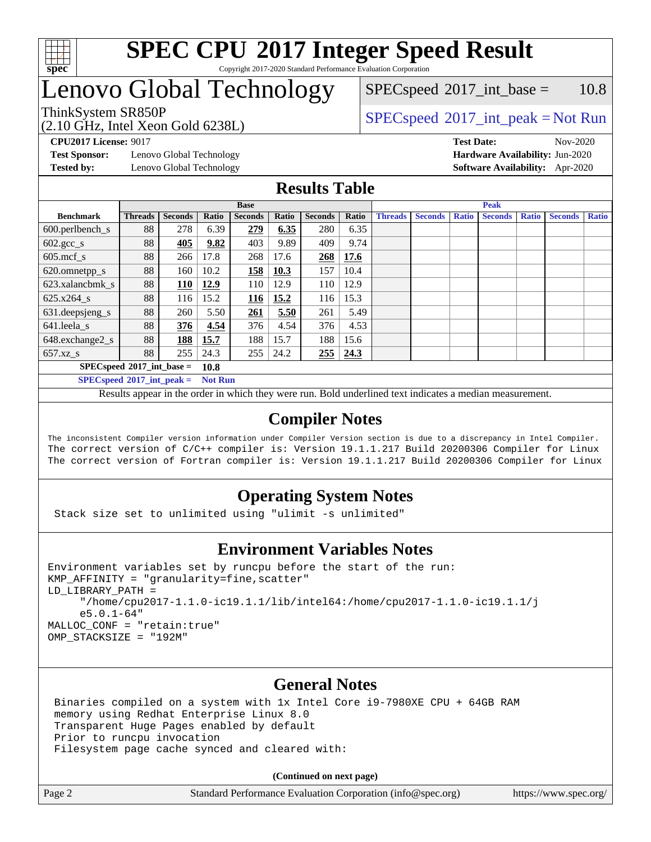

### Lenovo Global Technology

(2.10 GHz, Intel Xeon Gold 6238L)

ThinkSystem SR850P<br>  $\begin{array}{c}\n\text{SPEC speed} \text{°2017\_int\_peak} = \text{Not Run} \\
\text{SPEC speed} \text{°2017\_int\_peak} = \text{Not Run} \\
\end{array}$  $SPEC speed^{\circ}2017\_int\_base = 10.8$ 

**[Test Sponsor:](http://www.spec.org/auto/cpu2017/Docs/result-fields.html#TestSponsor)** Lenovo Global Technology **[Hardware Availability:](http://www.spec.org/auto/cpu2017/Docs/result-fields.html#HardwareAvailability)** Jun-2020

**[CPU2017 License:](http://www.spec.org/auto/cpu2017/Docs/result-fields.html#CPU2017License)** 9017 **[Test Date:](http://www.spec.org/auto/cpu2017/Docs/result-fields.html#TestDate)** Nov-2020 **[Tested by:](http://www.spec.org/auto/cpu2017/Docs/result-fields.html#Testedby)** Lenovo Global Technology **[Software Availability:](http://www.spec.org/auto/cpu2017/Docs/result-fields.html#SoftwareAvailability)** Apr-2020

#### **[Results Table](http://www.spec.org/auto/cpu2017/Docs/result-fields.html#ResultsTable)**

|                                               | <b>Base</b>    |                |       |                |       | <b>Peak</b>    |                    |                |                |              |                |              |                |              |
|-----------------------------------------------|----------------|----------------|-------|----------------|-------|----------------|--------------------|----------------|----------------|--------------|----------------|--------------|----------------|--------------|
| <b>Benchmark</b>                              | <b>Threads</b> | <b>Seconds</b> | Ratio | <b>Seconds</b> | Ratio | <b>Seconds</b> | Ratio              | <b>Threads</b> | <b>Seconds</b> | <b>Ratio</b> | <b>Seconds</b> | <b>Ratio</b> | <b>Seconds</b> | <b>Ratio</b> |
| $600.$ perlbench $\mathsf{S}$                 | 88             | 278            | 6.39  | 279            | 6.35  | 280            | 6.35               |                |                |              |                |              |                |              |
| $602.\text{gcc}\_\text{s}$                    | 88             | 405            | 9.82  | 403            | 9.89  | 409            | 9.74               |                |                |              |                |              |                |              |
| $605$ .mcf s                                  | 88             | 266            | 17.8  | 268            | 17.6  | 268            | 17.6               |                |                |              |                |              |                |              |
| 620.omnetpp_s                                 | 88             | 160            | 10.2  | 158            | 10.3  | 157            | 10.4               |                |                |              |                |              |                |              |
| 623.xalancbmk s                               | 88             | 110            | 12.9  | 110            | 12.9  | 110            | 12.9               |                |                |              |                |              |                |              |
| 625.x264 s                                    | 88             | 116            | 15.2  | 116            | 15.2  | 116            | 15.3               |                |                |              |                |              |                |              |
| 631.deepsjeng_s                               | 88             | 260            | 5.50  | 261            | 5.50  | 261            | 5.49               |                |                |              |                |              |                |              |
| 641.leela s                                   | 88             | 376            | 4.54  | 376            | 4.54  | 376            | 4.53               |                |                |              |                |              |                |              |
| 648.exchange2_s                               | 88             | 188            | 15.7  | 188            | 15.7  | 188            | 15.6               |                |                |              |                |              |                |              |
| $657.xz$ s                                    | 88             | 255            | 24.3  | 255            | 24.2  | 255            | $\vert 24.3 \vert$ |                |                |              |                |              |                |              |
| $SPEC speed^{\circ}2017\_int\_base =$<br>10.8 |                |                |       |                |       |                |                    |                |                |              |                |              |                |              |

**[SPECspeed](http://www.spec.org/auto/cpu2017/Docs/result-fields.html#SPECspeed2017intpeak)[2017\\_int\\_peak =](http://www.spec.org/auto/cpu2017/Docs/result-fields.html#SPECspeed2017intpeak) Not Run**

Results appear in the [order in which they were run.](http://www.spec.org/auto/cpu2017/Docs/result-fields.html#RunOrder) Bold underlined text [indicates a median measurement.](http://www.spec.org/auto/cpu2017/Docs/result-fields.html#Median)

#### **[Compiler Notes](http://www.spec.org/auto/cpu2017/Docs/result-fields.html#CompilerNotes)**

The inconsistent Compiler version information under Compiler Version section is due to a discrepancy in Intel Compiler. The correct version of C/C++ compiler is: Version 19.1.1.217 Build 20200306 Compiler for Linux The correct version of Fortran compiler is: Version 19.1.1.217 Build 20200306 Compiler for Linux

#### **[Operating System Notes](http://www.spec.org/auto/cpu2017/Docs/result-fields.html#OperatingSystemNotes)**

Stack size set to unlimited using "ulimit -s unlimited"

#### **[Environment Variables Notes](http://www.spec.org/auto/cpu2017/Docs/result-fields.html#EnvironmentVariablesNotes)**

```
Environment variables set by runcpu before the start of the run:
KMP_AFFINITY = "granularity=fine,scatter"
LD_LIBRARY_PATH =
      "/home/cpu2017-1.1.0-ic19.1.1/lib/intel64:/home/cpu2017-1.1.0-ic19.1.1/j
      e5.0.1-64"
MALLOC_CONF = "retain:true"
OMP_STACKSIZE = "192M"
```
#### **[General Notes](http://www.spec.org/auto/cpu2017/Docs/result-fields.html#GeneralNotes)**

 Binaries compiled on a system with 1x Intel Core i9-7980XE CPU + 64GB RAM memory using Redhat Enterprise Linux 8.0 Transparent Huge Pages enabled by default Prior to runcpu invocation Filesystem page cache synced and cleared with:

**(Continued on next page)**

Page 2 Standard Performance Evaluation Corporation [\(info@spec.org\)](mailto:info@spec.org) <https://www.spec.org/>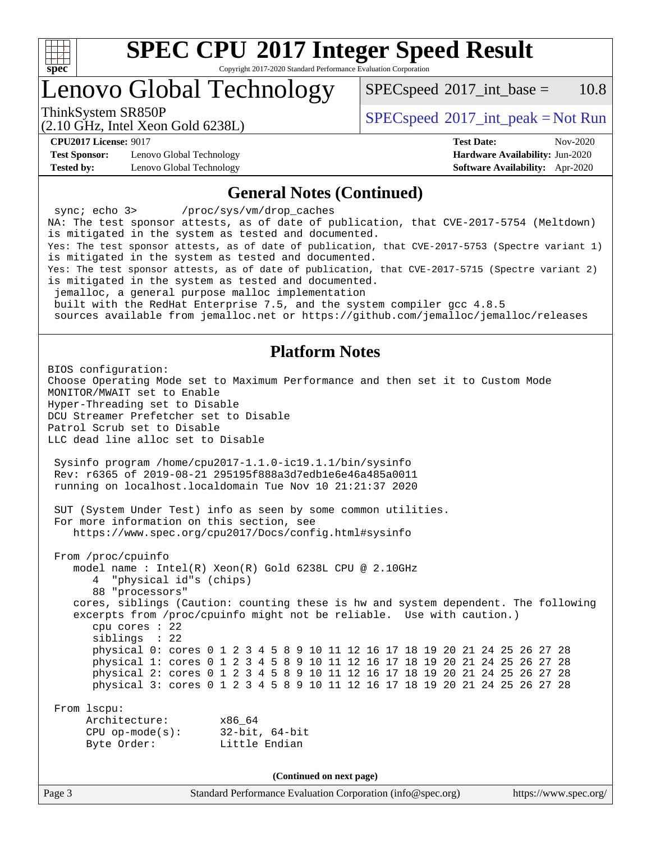

# **[SPEC CPU](http://www.spec.org/auto/cpu2017/Docs/result-fields.html#SPECCPU2017IntegerSpeedResult)[2017 Integer Speed Result](http://www.spec.org/auto/cpu2017/Docs/result-fields.html#SPECCPU2017IntegerSpeedResult)**

Copyright 2017-2020 Standard Performance Evaluation Corporation

### Lenovo Global Technology

 $SPEC speed^{\circ}2017\_int\_base = 10.8$ 

(2.10 GHz, Intel Xeon Gold 6238L)

ThinkSystem SR850P<br>  $\begin{array}{c}\n\text{SPEC speed} \text{?}2017\_int\_peak = Not Run\n\end{array}$ 

**[Test Sponsor:](http://www.spec.org/auto/cpu2017/Docs/result-fields.html#TestSponsor)** Lenovo Global Technology **[Hardware Availability:](http://www.spec.org/auto/cpu2017/Docs/result-fields.html#HardwareAvailability)** Jun-2020 **[Tested by:](http://www.spec.org/auto/cpu2017/Docs/result-fields.html#Testedby)** Lenovo Global Technology **[Software Availability:](http://www.spec.org/auto/cpu2017/Docs/result-fields.html#SoftwareAvailability)** Apr-2020

**[CPU2017 License:](http://www.spec.org/auto/cpu2017/Docs/result-fields.html#CPU2017License)** 9017 **[Test Date:](http://www.spec.org/auto/cpu2017/Docs/result-fields.html#TestDate)** Nov-2020

#### **[General Notes \(Continued\)](http://www.spec.org/auto/cpu2017/Docs/result-fields.html#GeneralNotes)**

Page 3 Standard Performance Evaluation Corporation [\(info@spec.org\)](mailto:info@spec.org) <https://www.spec.org/> sync; echo 3> /proc/sys/vm/drop\_caches NA: The test sponsor attests, as of date of publication, that CVE-2017-5754 (Meltdown) is mitigated in the system as tested and documented. Yes: The test sponsor attests, as of date of publication, that CVE-2017-5753 (Spectre variant 1) is mitigated in the system as tested and documented. Yes: The test sponsor attests, as of date of publication, that CVE-2017-5715 (Spectre variant 2) is mitigated in the system as tested and documented. jemalloc, a general purpose malloc implementation built with the RedHat Enterprise 7.5, and the system compiler gcc 4.8.5 sources available from jemalloc.net or<https://github.com/jemalloc/jemalloc/releases> **[Platform Notes](http://www.spec.org/auto/cpu2017/Docs/result-fields.html#PlatformNotes)** BIOS configuration: Choose Operating Mode set to Maximum Performance and then set it to Custom Mode MONITOR/MWAIT set to Enable Hyper-Threading set to Disable DCU Streamer Prefetcher set to Disable Patrol Scrub set to Disable LLC dead line alloc set to Disable Sysinfo program /home/cpu2017-1.1.0-ic19.1.1/bin/sysinfo Rev: r6365 of 2019-08-21 295195f888a3d7edb1e6e46a485a0011 running on localhost.localdomain Tue Nov 10 21:21:37 2020 SUT (System Under Test) info as seen by some common utilities. For more information on this section, see <https://www.spec.org/cpu2017/Docs/config.html#sysinfo> From /proc/cpuinfo model name : Intel(R) Xeon(R) Gold 6238L CPU @ 2.10GHz 4 "physical id"s (chips) 88 "processors" cores, siblings (Caution: counting these is hw and system dependent. The following excerpts from /proc/cpuinfo might not be reliable. Use with caution.) cpu cores : 22 siblings : 22 physical 0: cores 0 1 2 3 4 5 8 9 10 11 12 16 17 18 19 20 21 24 25 26 27 28 physical 1: cores 0 1 2 3 4 5 8 9 10 11 12 16 17 18 19 20 21 24 25 26 27 28 physical 2: cores 0 1 2 3 4 5 8 9 10 11 12 16 17 18 19 20 21 24 25 26 27 28 physical 3: cores 0 1 2 3 4 5 8 9 10 11 12 16 17 18 19 20 21 24 25 26 27 28 From lscpu: Architecture: x86\_64 CPU op-mode(s): 32-bit, 64-bit Byte Order: Little Endian **(Continued on next page)**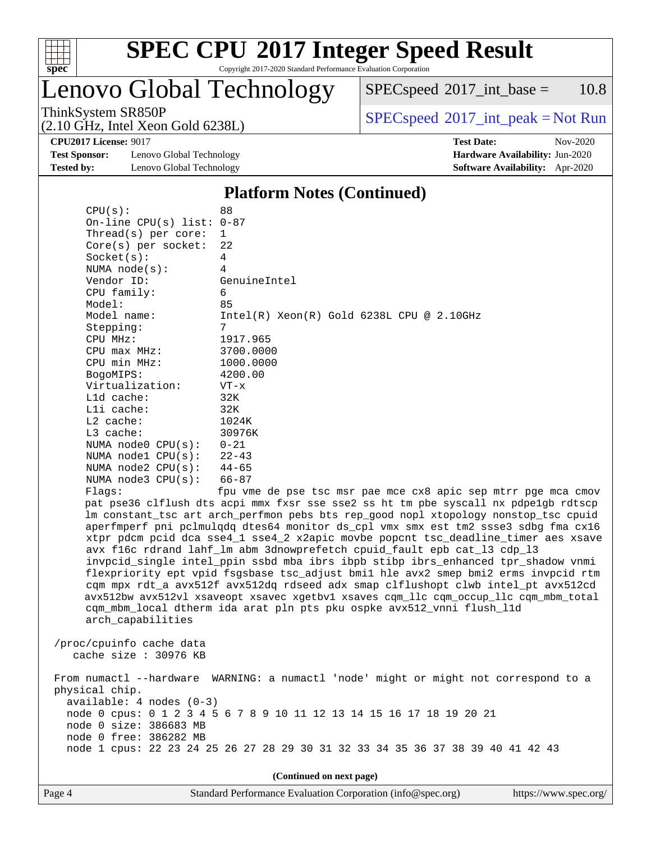

Lenovo Global Technology

 $SPECspeed^{\circledcirc}2017\_int\_base = 10.8$  $SPECspeed^{\circledcirc}2017\_int\_base = 10.8$ 

(2.10 GHz, Intel Xeon Gold 6238L)

ThinkSystem SR850P<br>  $(2.10 \text{ GHz, Intel Yoon Gold } 62381)$  [SPECspeed](http://www.spec.org/auto/cpu2017/Docs/result-fields.html#SPECspeed2017intpeak)<sup>®</sup>[2017\\_int\\_peak = N](http://www.spec.org/auto/cpu2017/Docs/result-fields.html#SPECspeed2017intpeak)ot Run

**[Test Sponsor:](http://www.spec.org/auto/cpu2017/Docs/result-fields.html#TestSponsor)** Lenovo Global Technology **[Hardware Availability:](http://www.spec.org/auto/cpu2017/Docs/result-fields.html#HardwareAvailability)** Jun-2020 **[Tested by:](http://www.spec.org/auto/cpu2017/Docs/result-fields.html#Testedby)** Lenovo Global Technology **[Software Availability:](http://www.spec.org/auto/cpu2017/Docs/result-fields.html#SoftwareAvailability)** Apr-2020

 $CPU(s):$  88

**[CPU2017 License:](http://www.spec.org/auto/cpu2017/Docs/result-fields.html#CPU2017License)** 9017 **[Test Date:](http://www.spec.org/auto/cpu2017/Docs/result-fields.html#TestDate)** Nov-2020

#### **[Platform Notes \(Continued\)](http://www.spec.org/auto/cpu2017/Docs/result-fields.html#PlatformNotes)**

| On-line CPU(s) list: 0-87                                                                      |                                                                                                                                                                                                                                                                                                                                                                                                                                                                                                                                                                                                                                                                                                                                                                                                                                                                 |
|------------------------------------------------------------------------------------------------|-----------------------------------------------------------------------------------------------------------------------------------------------------------------------------------------------------------------------------------------------------------------------------------------------------------------------------------------------------------------------------------------------------------------------------------------------------------------------------------------------------------------------------------------------------------------------------------------------------------------------------------------------------------------------------------------------------------------------------------------------------------------------------------------------------------------------------------------------------------------|
| Thread( $s$ ) per core:                                                                        | $\mathbf{1}$                                                                                                                                                                                                                                                                                                                                                                                                                                                                                                                                                                                                                                                                                                                                                                                                                                                    |
| $Core(s)$ per socket:                                                                          | 22                                                                                                                                                                                                                                                                                                                                                                                                                                                                                                                                                                                                                                                                                                                                                                                                                                                              |
| Socket(s):                                                                                     | 4                                                                                                                                                                                                                                                                                                                                                                                                                                                                                                                                                                                                                                                                                                                                                                                                                                                               |
| NUMA $node(s)$ :                                                                               | 4                                                                                                                                                                                                                                                                                                                                                                                                                                                                                                                                                                                                                                                                                                                                                                                                                                                               |
| Vendor ID:                                                                                     | GenuineIntel                                                                                                                                                                                                                                                                                                                                                                                                                                                                                                                                                                                                                                                                                                                                                                                                                                                    |
| CPU family:                                                                                    | 6                                                                                                                                                                                                                                                                                                                                                                                                                                                                                                                                                                                                                                                                                                                                                                                                                                                               |
| Model:                                                                                         | 85                                                                                                                                                                                                                                                                                                                                                                                                                                                                                                                                                                                                                                                                                                                                                                                                                                                              |
| Model name:                                                                                    | $Intel(R)$ Xeon $(R)$ Gold 6238L CPU @ 2.10GHz                                                                                                                                                                                                                                                                                                                                                                                                                                                                                                                                                                                                                                                                                                                                                                                                                  |
| Stepping:                                                                                      | 7                                                                                                                                                                                                                                                                                                                                                                                                                                                                                                                                                                                                                                                                                                                                                                                                                                                               |
| CPU MHz:                                                                                       | 1917.965                                                                                                                                                                                                                                                                                                                                                                                                                                                                                                                                                                                                                                                                                                                                                                                                                                                        |
| $CPU$ max $MHz$ :                                                                              | 3700.0000                                                                                                                                                                                                                                                                                                                                                                                                                                                                                                                                                                                                                                                                                                                                                                                                                                                       |
| CPU min MHz:                                                                                   | 1000.0000                                                                                                                                                                                                                                                                                                                                                                                                                                                                                                                                                                                                                                                                                                                                                                                                                                                       |
| BogoMIPS:                                                                                      | 4200.00                                                                                                                                                                                                                                                                                                                                                                                                                                                                                                                                                                                                                                                                                                                                                                                                                                                         |
| Virtualization:                                                                                | $VT - x$                                                                                                                                                                                                                                                                                                                                                                                                                                                                                                                                                                                                                                                                                                                                                                                                                                                        |
| L1d cache:                                                                                     | 32K                                                                                                                                                                                                                                                                                                                                                                                                                                                                                                                                                                                                                                                                                                                                                                                                                                                             |
| Lli cache:                                                                                     | 32K                                                                                                                                                                                                                                                                                                                                                                                                                                                                                                                                                                                                                                                                                                                                                                                                                                                             |
| L2 cache:                                                                                      | 1024K                                                                                                                                                                                                                                                                                                                                                                                                                                                                                                                                                                                                                                                                                                                                                                                                                                                           |
| L3 cache:                                                                                      | 30976K                                                                                                                                                                                                                                                                                                                                                                                                                                                                                                                                                                                                                                                                                                                                                                                                                                                          |
| NUMA $node0$ $CPU(s):$                                                                         | $0 - 21$                                                                                                                                                                                                                                                                                                                                                                                                                                                                                                                                                                                                                                                                                                                                                                                                                                                        |
| NUMA $node1$ $CPU(s):$                                                                         | $22 - 43$                                                                                                                                                                                                                                                                                                                                                                                                                                                                                                                                                                                                                                                                                                                                                                                                                                                       |
| NUMA $node2$ $CPU(s):$                                                                         | $44 - 65$                                                                                                                                                                                                                                                                                                                                                                                                                                                                                                                                                                                                                                                                                                                                                                                                                                                       |
| NUMA $node3$ $CPU(s)$ :                                                                        | $66 - 87$                                                                                                                                                                                                                                                                                                                                                                                                                                                                                                                                                                                                                                                                                                                                                                                                                                                       |
| Flaqs:                                                                                         | fpu vme de pse tsc msr pae mce cx8 apic sep mtrr pge mca cmov                                                                                                                                                                                                                                                                                                                                                                                                                                                                                                                                                                                                                                                                                                                                                                                                   |
| arch_capabilities                                                                              | pat pse36 clflush dts acpi mmx fxsr sse sse2 ss ht tm pbe syscall nx pdpelgb rdtscp<br>lm constant_tsc art arch_perfmon pebs bts rep_good nopl xtopology nonstop_tsc cpuid<br>aperfmperf pni pclmulqdq dtes64 monitor ds_cpl vmx smx est tm2 ssse3 sdbg fma cx16<br>xtpr pdcm pcid dca sse4_1 sse4_2 x2apic movbe popcnt tsc_deadline_timer aes xsave<br>avx f16c rdrand lahf_lm abm 3dnowprefetch cpuid_fault epb cat_13 cdp_13<br>invpcid_single intel_ppin ssbd mba ibrs ibpb stibp ibrs_enhanced tpr_shadow vnmi<br>flexpriority ept vpid fsgsbase tsc_adjust bmil hle avx2 smep bmi2 erms invpcid rtm<br>cqm mpx rdt_a avx512f avx512dq rdseed adx smap clflushopt clwb intel_pt avx512cd<br>avx512bw avx512vl xsaveopt xsavec xgetbvl xsaves cqm_llc cqm_occup_llc cqm_mbm_total<br>cqm_mbm_local dtherm ida arat pln pts pku ospke avx512_vnni flush_l1d |
| /proc/cpuinfo cache data<br>cache size: 30976 KB                                               |                                                                                                                                                                                                                                                                                                                                                                                                                                                                                                                                                                                                                                                                                                                                                                                                                                                                 |
| physical chip.<br>available: 4 nodes (0-3)<br>node 0 size: 386683 MB<br>node 0 free: 386282 MB | From numactl --hardware WARNING: a numactl 'node' might or might not correspond to a<br>node 0 cpus: 0 1 2 3 4 5 6 7 8 9 10 11 12 13 14 15 16 17 18 19 20 21                                                                                                                                                                                                                                                                                                                                                                                                                                                                                                                                                                                                                                                                                                    |
|                                                                                                | node 1 cpus: 22 23 24 25 26 27 28 29 30 31 32 33 34 35 36 37 38 39 40 41 42 43                                                                                                                                                                                                                                                                                                                                                                                                                                                                                                                                                                                                                                                                                                                                                                                  |

**(Continued on next page)**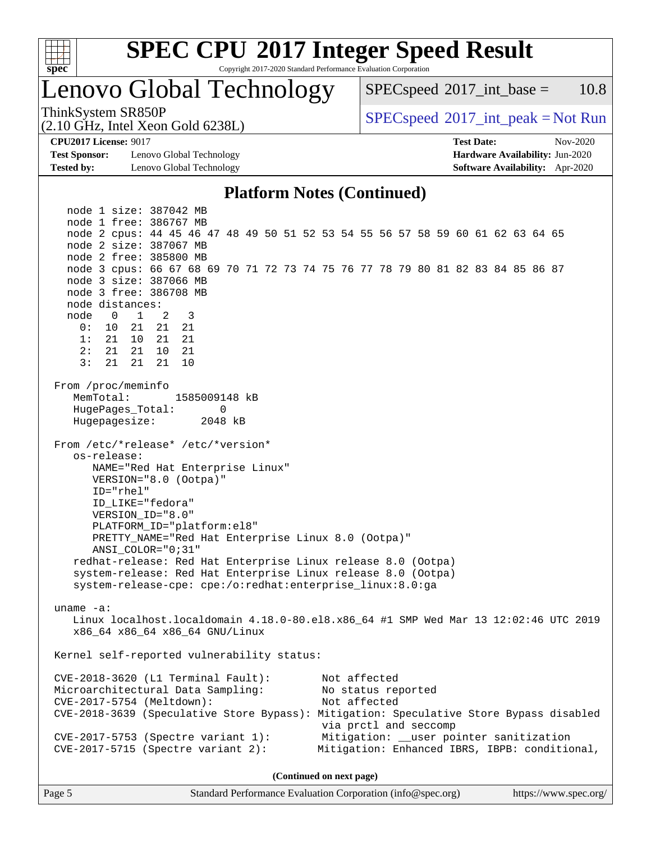

# **[SPEC CPU](http://www.spec.org/auto/cpu2017/Docs/result-fields.html#SPECCPU2017IntegerSpeedResult)[2017 Integer Speed Result](http://www.spec.org/auto/cpu2017/Docs/result-fields.html#SPECCPU2017IntegerSpeedResult)**

Copyright 2017-2020 Standard Performance Evaluation Corporation

### Lenovo Global Technology

 $SPECspeed^{\circ}2017\_int\_base = 10.8$  $SPECspeed^{\circ}2017\_int\_base = 10.8$ 

ThinkSystem SR850P<br>  $SPEC speed^{\circ}2017\_int\_peak = Not Run$ 

**[Test Sponsor:](http://www.spec.org/auto/cpu2017/Docs/result-fields.html#TestSponsor)** Lenovo Global Technology **[Hardware Availability:](http://www.spec.org/auto/cpu2017/Docs/result-fields.html#HardwareAvailability)** Jun-2020 **[Tested by:](http://www.spec.org/auto/cpu2017/Docs/result-fields.html#Testedby)** Lenovo Global Technology **[Software Availability:](http://www.spec.org/auto/cpu2017/Docs/result-fields.html#SoftwareAvailability)** Apr-2020

(2.10 GHz, Intel Xeon Gold 6238L)

**[CPU2017 License:](http://www.spec.org/auto/cpu2017/Docs/result-fields.html#CPU2017License)** 9017 **[Test Date:](http://www.spec.org/auto/cpu2017/Docs/result-fields.html#TestDate)** Nov-2020

#### **[Platform Notes \(Continued\)](http://www.spec.org/auto/cpu2017/Docs/result-fields.html#PlatformNotes)**

 node 1 size: 387042 MB node 1 free: 386767 MB node 2 cpus: 44 45 46 47 48 49 50 51 52 53 54 55 56 57 58 59 60 61 62 63 64 65 node 2 size: 387067 MB node 2 free: 385800 MB node 3 cpus: 66 67 68 69 70 71 72 73 74 75 76 77 78 79 80 81 82 83 84 85 86 87 node 3 size: 387066 MB node 3 free: 386708 MB node distances: node 0 1 2 3 0: 10 21 21 21 1: 21 10 21 21 2: 21 21 10 21 3: 21 21 21 10 From /proc/meminfo MemTotal: 1585009148 kB HugePages\_Total: 0 Hugepagesize: 2048 kB From /etc/\*release\* /etc/\*version\* os-release: NAME="Red Hat Enterprise Linux" VERSION="8.0 (Ootpa)" ID="rhel" ID\_LIKE="fedora" VERSION\_ID="8.0" PLATFORM\_ID="platform:el8" PRETTY\_NAME="Red Hat Enterprise Linux 8.0 (Ootpa)" ANSI\_COLOR="0;31" redhat-release: Red Hat Enterprise Linux release 8.0 (Ootpa) system-release: Red Hat Enterprise Linux release 8.0 (Ootpa) system-release-cpe: cpe:/o:redhat:enterprise\_linux:8.0:ga uname -a: Linux localhost.localdomain 4.18.0-80.el8.x86\_64 #1 SMP Wed Mar 13 12:02:46 UTC 2019 x86\_64 x86\_64 x86\_64 GNU/Linux Kernel self-reported vulnerability status: CVE-2018-3620 (L1 Terminal Fault): Not affected Microarchitectural Data Sampling: No status reported CVE-2017-5754 (Meltdown): Not affected CVE-2018-3639 (Speculative Store Bypass): Mitigation: Speculative Store Bypass disabled via prctl and seccomp CVE-2017-5753 (Spectre variant 1): Mitigation: \_\_user pointer sanitization CVE-2017-5715 (Spectre variant 2): Mitigation: Enhanced IBRS, IBPB: conditional,

**(Continued on next page)**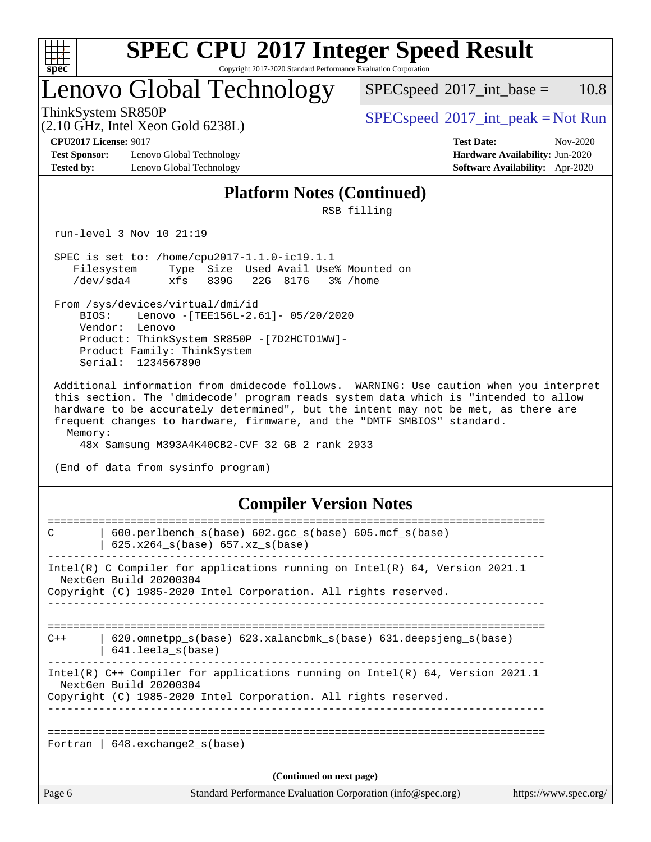

# **[SPEC CPU](http://www.spec.org/auto/cpu2017/Docs/result-fields.html#SPECCPU2017IntegerSpeedResult)[2017 Integer Speed Result](http://www.spec.org/auto/cpu2017/Docs/result-fields.html#SPECCPU2017IntegerSpeedResult)**

Copyright 2017-2020 Standard Performance Evaluation Corporation

### Lenovo Global Technology

 $SPECspeed^{\circ}2017\_int\_base = 10.8$  $SPECspeed^{\circ}2017\_int\_base = 10.8$ 

(2.10 GHz, Intel Xeon Gold 6238L)

ThinkSystem SR850P<br>  $\begin{array}{c}\n\text{SPEC speed} \text{?}2017\_int\_peak = Not Run\n\end{array}$ 

**[Test Sponsor:](http://www.spec.org/auto/cpu2017/Docs/result-fields.html#TestSponsor)** Lenovo Global Technology **[Hardware Availability:](http://www.spec.org/auto/cpu2017/Docs/result-fields.html#HardwareAvailability)** Jun-2020 **[Tested by:](http://www.spec.org/auto/cpu2017/Docs/result-fields.html#Testedby)** Lenovo Global Technology **[Software Availability:](http://www.spec.org/auto/cpu2017/Docs/result-fields.html#SoftwareAvailability)** Apr-2020

**[CPU2017 License:](http://www.spec.org/auto/cpu2017/Docs/result-fields.html#CPU2017License)** 9017 **[Test Date:](http://www.spec.org/auto/cpu2017/Docs/result-fields.html#TestDate)** Nov-2020

#### **[Platform Notes \(Continued\)](http://www.spec.org/auto/cpu2017/Docs/result-fields.html#PlatformNotes)**

RSB filling

run-level 3 Nov 10 21:19

 SPEC is set to: /home/cpu2017-1.1.0-ic19.1.1 Filesystem Type Size Used Avail Use% Mounted on /dev/sda4 xfs 839G 22G 817G 3% /home

 From /sys/devices/virtual/dmi/id BIOS: Lenovo -[TEE156L-2.61]- 05/20/2020 Vendor: Lenovo Product: ThinkSystem SR850P -[7D2HCTO1WW]- Product Family: ThinkSystem Serial: 1234567890

 Additional information from dmidecode follows. WARNING: Use caution when you interpret this section. The 'dmidecode' program reads system data which is "intended to allow hardware to be accurately determined", but the intent may not be met, as there are frequent changes to hardware, firmware, and the "DMTF SMBIOS" standard. Memory:

48x Samsung M393A4K40CB2-CVF 32 GB 2 rank 2933

(End of data from sysinfo program)

#### **[Compiler Version Notes](http://www.spec.org/auto/cpu2017/Docs/result-fields.html#CompilerVersionNotes)**

| Page 6 | Standard Performance Evaluation Corporation (info@spec.org)                                                                                                                 | https://www.spec.org/ |
|--------|-----------------------------------------------------------------------------------------------------------------------------------------------------------------------------|-----------------------|
|        | (Continued on next page)                                                                                                                                                    |                       |
|        | Fortran   $648$ . exchange2 $s(base)$                                                                                                                                       |                       |
|        | Intel(R) C++ Compiler for applications running on Intel(R) 64, Version 2021.1<br>NextGen Build 20200304<br>Copyright (C) 1985-2020 Intel Corporation. All rights reserved.  |                       |
| $C++$  | $620$ .omnetpp $s(base)$ 623.xalancbmk $s(base)$ 631.deepsjeng $s(base)$<br>641.leela s(base)                                                                               |                       |
|        | Intel(R) C Compiler for applications running on $Intel(R) 64$ , Version 2021.1<br>NextGen Build 20200304<br>Copyright (C) 1985-2020 Intel Corporation. All rights reserved. |                       |
| C      | $600. perlbench_s(base) 602. gcc_s(base) 605. mcf_s(base)$<br>$625.x264_s(base) 657.xz_s(base)$                                                                             |                       |
|        |                                                                                                                                                                             |                       |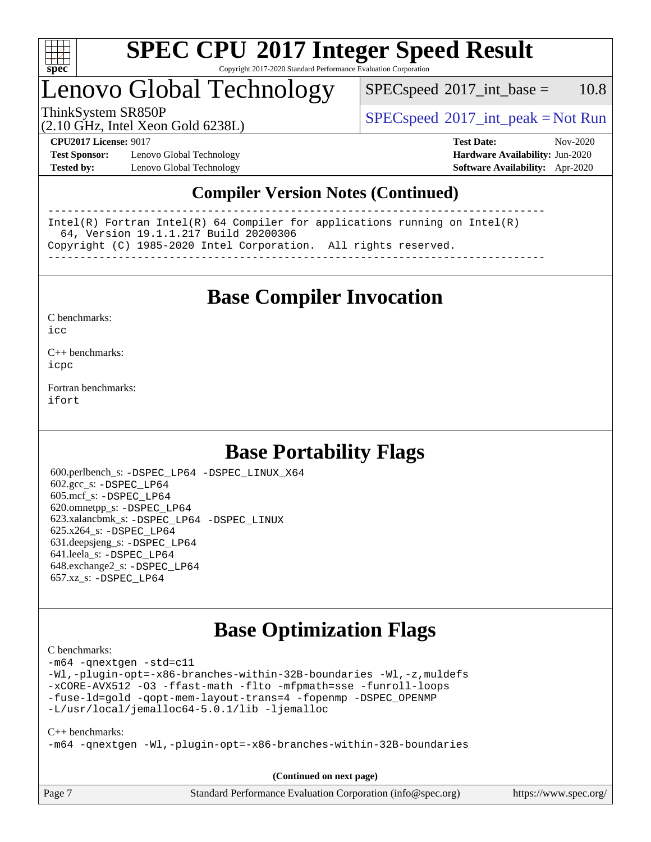

### Lenovo Global Technology

 $SPEC speed^{\circ}2017\_int\_base = 10.8$ 

ThinkSystem SR850P<br>  $\begin{array}{c}\n\text{SPEC speed} \text{?}2017\_int\_peak = Not Run\n\end{array}$ 

(2.10 GHz, Intel Xeon Gold 6238L)

**[Test Sponsor:](http://www.spec.org/auto/cpu2017/Docs/result-fields.html#TestSponsor)** Lenovo Global Technology **[Hardware Availability:](http://www.spec.org/auto/cpu2017/Docs/result-fields.html#HardwareAvailability)** Jun-2020 **[Tested by:](http://www.spec.org/auto/cpu2017/Docs/result-fields.html#Testedby)** Lenovo Global Technology **[Software Availability:](http://www.spec.org/auto/cpu2017/Docs/result-fields.html#SoftwareAvailability)** Apr-2020

**[CPU2017 License:](http://www.spec.org/auto/cpu2017/Docs/result-fields.html#CPU2017License)** 9017 **[Test Date:](http://www.spec.org/auto/cpu2017/Docs/result-fields.html#TestDate)** Nov-2020

### **[Compiler Version Notes \(Continued\)](http://www.spec.org/auto/cpu2017/Docs/result-fields.html#CompilerVersionNotes)**

------------------------------------------------------------------------------ Intel(R) Fortran Intel(R) 64 Compiler for applications running on Intel(R) 64, Version 19.1.1.217 Build 20200306 Copyright (C) 1985-2020 Intel Corporation. All rights reserved. ------------------------------------------------------------------------------

**[Base Compiler Invocation](http://www.spec.org/auto/cpu2017/Docs/result-fields.html#BaseCompilerInvocation)**

[C benchmarks](http://www.spec.org/auto/cpu2017/Docs/result-fields.html#Cbenchmarks):  $i$ cc

[C++ benchmarks:](http://www.spec.org/auto/cpu2017/Docs/result-fields.html#CXXbenchmarks) [icpc](http://www.spec.org/cpu2017/results/res2020q4/cpu2017-20201123-24455.flags.html#user_CXXbase_intel_icpc_c510b6838c7f56d33e37e94d029a35b4a7bccf4766a728ee175e80a419847e808290a9b78be685c44ab727ea267ec2f070ec5dc83b407c0218cded6866a35d07)

[Fortran benchmarks](http://www.spec.org/auto/cpu2017/Docs/result-fields.html#Fortranbenchmarks): [ifort](http://www.spec.org/cpu2017/results/res2020q4/cpu2017-20201123-24455.flags.html#user_FCbase_intel_ifort_8111460550e3ca792625aed983ce982f94888b8b503583aa7ba2b8303487b4d8a21a13e7191a45c5fd58ff318f48f9492884d4413fa793fd88dd292cad7027ca)

### **[Base Portability Flags](http://www.spec.org/auto/cpu2017/Docs/result-fields.html#BasePortabilityFlags)**

 600.perlbench\_s: [-DSPEC\\_LP64](http://www.spec.org/cpu2017/results/res2020q4/cpu2017-20201123-24455.flags.html#b600.perlbench_s_basePORTABILITY_DSPEC_LP64) [-DSPEC\\_LINUX\\_X64](http://www.spec.org/cpu2017/results/res2020q4/cpu2017-20201123-24455.flags.html#b600.perlbench_s_baseCPORTABILITY_DSPEC_LINUX_X64) 602.gcc\_s: [-DSPEC\\_LP64](http://www.spec.org/cpu2017/results/res2020q4/cpu2017-20201123-24455.flags.html#suite_basePORTABILITY602_gcc_s_DSPEC_LP64) 605.mcf\_s: [-DSPEC\\_LP64](http://www.spec.org/cpu2017/results/res2020q4/cpu2017-20201123-24455.flags.html#suite_basePORTABILITY605_mcf_s_DSPEC_LP64) 620.omnetpp\_s: [-DSPEC\\_LP64](http://www.spec.org/cpu2017/results/res2020q4/cpu2017-20201123-24455.flags.html#suite_basePORTABILITY620_omnetpp_s_DSPEC_LP64) 623.xalancbmk\_s: [-DSPEC\\_LP64](http://www.spec.org/cpu2017/results/res2020q4/cpu2017-20201123-24455.flags.html#suite_basePORTABILITY623_xalancbmk_s_DSPEC_LP64) [-DSPEC\\_LINUX](http://www.spec.org/cpu2017/results/res2020q4/cpu2017-20201123-24455.flags.html#b623.xalancbmk_s_baseCXXPORTABILITY_DSPEC_LINUX) 625.x264\_s: [-DSPEC\\_LP64](http://www.spec.org/cpu2017/results/res2020q4/cpu2017-20201123-24455.flags.html#suite_basePORTABILITY625_x264_s_DSPEC_LP64) 631.deepsjeng\_s: [-DSPEC\\_LP64](http://www.spec.org/cpu2017/results/res2020q4/cpu2017-20201123-24455.flags.html#suite_basePORTABILITY631_deepsjeng_s_DSPEC_LP64) 641.leela\_s: [-DSPEC\\_LP64](http://www.spec.org/cpu2017/results/res2020q4/cpu2017-20201123-24455.flags.html#suite_basePORTABILITY641_leela_s_DSPEC_LP64) 648.exchange2\_s: [-DSPEC\\_LP64](http://www.spec.org/cpu2017/results/res2020q4/cpu2017-20201123-24455.flags.html#suite_basePORTABILITY648_exchange2_s_DSPEC_LP64) 657.xz\_s: [-DSPEC\\_LP64](http://www.spec.org/cpu2017/results/res2020q4/cpu2017-20201123-24455.flags.html#suite_basePORTABILITY657_xz_s_DSPEC_LP64)

### **[Base Optimization Flags](http://www.spec.org/auto/cpu2017/Docs/result-fields.html#BaseOptimizationFlags)**

[C benchmarks](http://www.spec.org/auto/cpu2017/Docs/result-fields.html#Cbenchmarks):

[-m64](http://www.spec.org/cpu2017/results/res2020q4/cpu2017-20201123-24455.flags.html#user_CCbase_m64-icc) [-qnextgen](http://www.spec.org/cpu2017/results/res2020q4/cpu2017-20201123-24455.flags.html#user_CCbase_f-qnextgen) [-std=c11](http://www.spec.org/cpu2017/results/res2020q4/cpu2017-20201123-24455.flags.html#user_CCbase_std-icc-std_0e1c27790398a4642dfca32ffe6c27b5796f9c2d2676156f2e42c9c44eaad0c049b1cdb667a270c34d979996257aeb8fc440bfb01818dbc9357bd9d174cb8524) [-Wl,-plugin-opt=-x86-branches-within-32B-boundaries](http://www.spec.org/cpu2017/results/res2020q4/cpu2017-20201123-24455.flags.html#user_CCbase_f-x86-branches-within-32B-boundaries_0098b4e4317ae60947b7b728078a624952a08ac37a3c797dfb4ffeb399e0c61a9dd0f2f44ce917e9361fb9076ccb15e7824594512dd315205382d84209e912f3) [-Wl,-z,muldefs](http://www.spec.org/cpu2017/results/res2020q4/cpu2017-20201123-24455.flags.html#user_CCbase_link_force_multiple1_b4cbdb97b34bdee9ceefcfe54f4c8ea74255f0b02a4b23e853cdb0e18eb4525ac79b5a88067c842dd0ee6996c24547a27a4b99331201badda8798ef8a743f577) [-xCORE-AVX512](http://www.spec.org/cpu2017/results/res2020q4/cpu2017-20201123-24455.flags.html#user_CCbase_f-xCORE-AVX512) [-O3](http://www.spec.org/cpu2017/results/res2020q4/cpu2017-20201123-24455.flags.html#user_CCbase_f-O3) [-ffast-math](http://www.spec.org/cpu2017/results/res2020q4/cpu2017-20201123-24455.flags.html#user_CCbase_f-ffast-math) [-flto](http://www.spec.org/cpu2017/results/res2020q4/cpu2017-20201123-24455.flags.html#user_CCbase_f-flto) [-mfpmath=sse](http://www.spec.org/cpu2017/results/res2020q4/cpu2017-20201123-24455.flags.html#user_CCbase_f-mfpmath_70eb8fac26bde974f8ab713bc9086c5621c0b8d2f6c86f38af0bd7062540daf19db5f3a066d8c6684be05d84c9b6322eb3b5be6619d967835195b93d6c02afa1) [-funroll-loops](http://www.spec.org/cpu2017/results/res2020q4/cpu2017-20201123-24455.flags.html#user_CCbase_f-funroll-loops) [-fuse-ld=gold](http://www.spec.org/cpu2017/results/res2020q4/cpu2017-20201123-24455.flags.html#user_CCbase_f-fuse-ld_920b3586e2b8c6e0748b9c84fa9b744736ba725a32cab14ad8f3d4ad28eecb2f59d1144823d2e17006539a88734fe1fc08fc3035f7676166309105a78aaabc32) [-qopt-mem-layout-trans=4](http://www.spec.org/cpu2017/results/res2020q4/cpu2017-20201123-24455.flags.html#user_CCbase_f-qopt-mem-layout-trans_fa39e755916c150a61361b7846f310bcdf6f04e385ef281cadf3647acec3f0ae266d1a1d22d972a7087a248fd4e6ca390a3634700869573d231a252c784941a8) [-fopenmp](http://www.spec.org/cpu2017/results/res2020q4/cpu2017-20201123-24455.flags.html#user_CCbase_fopenmp_5aa2e47ce4f2ef030ba5d12d5a7a9c4e57167333d78243fcadb80b48d5abb78ff19333f8478e0b2a41e63049eb285965c145ccab7b93db7d0c4d59e4dc6f5591) [-DSPEC\\_OPENMP](http://www.spec.org/cpu2017/results/res2020q4/cpu2017-20201123-24455.flags.html#suite_CCbase_DSPEC_OPENMP) [-L/usr/local/jemalloc64-5.0.1/lib](http://www.spec.org/cpu2017/results/res2020q4/cpu2017-20201123-24455.flags.html#user_CCbase_jemalloc_link_path64_1_cc289568b1a6c0fd3b62c91b824c27fcb5af5e8098e6ad028160d21144ef1b8aef3170d2acf0bee98a8da324cfe4f67d0a3d0c4cc4673d993d694dc2a0df248b) [-ljemalloc](http://www.spec.org/cpu2017/results/res2020q4/cpu2017-20201123-24455.flags.html#user_CCbase_jemalloc_link_lib_d1249b907c500fa1c0672f44f562e3d0f79738ae9e3c4a9c376d49f265a04b9c99b167ecedbf6711b3085be911c67ff61f150a17b3472be731631ba4d0471706)

[C++ benchmarks:](http://www.spec.org/auto/cpu2017/Docs/result-fields.html#CXXbenchmarks)

[-m64](http://www.spec.org/cpu2017/results/res2020q4/cpu2017-20201123-24455.flags.html#user_CXXbase_m64-icc) [-qnextgen](http://www.spec.org/cpu2017/results/res2020q4/cpu2017-20201123-24455.flags.html#user_CXXbase_f-qnextgen) [-Wl,-plugin-opt=-x86-branches-within-32B-boundaries](http://www.spec.org/cpu2017/results/res2020q4/cpu2017-20201123-24455.flags.html#user_CXXbase_f-x86-branches-within-32B-boundaries_0098b4e4317ae60947b7b728078a624952a08ac37a3c797dfb4ffeb399e0c61a9dd0f2f44ce917e9361fb9076ccb15e7824594512dd315205382d84209e912f3)

Page 7 Standard Performance Evaluation Corporation [\(info@spec.org\)](mailto:info@spec.org) <https://www.spec.org/> **(Continued on next page)**